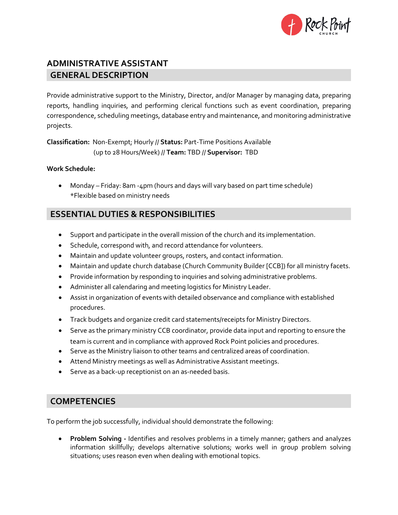

# **ADMINISTRATIVE ASSISTANT GENERAL DESCRIPTION**

Provide administrative support to the Ministry, Director, and/or Manager by managing data, preparing reports, handling inquiries, and performing clerical functions such as event coordination, preparing correspondence, scheduling meetings, database entry and maintenance, and monitoring administrative projects.

**Classification:** Non-Exempt; Hourly // **Status:** Part-Time Positions Available (up to 28 Hours/Week) // **Team:** TBD // **Supervisor:** TBD

#### **Work Schedule:**

• Monday – Friday: 8am -4pm (hours and days will vary based on part time schedule) \*Flexible based on ministry needs

## **ESSENTIAL DUTIES & RESPONSIBILITIES**

- Support and participate in the overall mission of the church and its implementation.
- Schedule, correspond with, and record attendance for volunteers.
- Maintain and update volunteer groups, rosters, and contact information.
- Maintain and update church database (Church Community Builder [CCB]) for all ministry facets.
- Provide information by responding to inquiries and solving administrative problems.
- Administer all calendaring and meeting logistics for Ministry Leader.
- Assist in organization of events with detailed observance and compliance with established procedures.
- Track budgets and organize credit card statements/receipts for Ministry Directors.
- Serve as the primary ministry CCB coordinator, provide data input and reporting to ensure the team is current and in compliance with approved Rock Point policies and procedures.
- Serve as the Ministry liaison to other teams and centralized areas of coordination.
- Attend Ministry meetings as well as Administrative Assistant meetings.
- Serve as a back-up receptionist on an as-needed basis.

#### **COMPETENCIES**

To perform the job successfully, individual should demonstrate the following:

• **Problem Solving -** Identifies and resolves problems in a timely manner; gathers and analyzes information skillfully; develops alternative solutions; works well in group problem solving situations; uses reason even when dealing with emotional topics.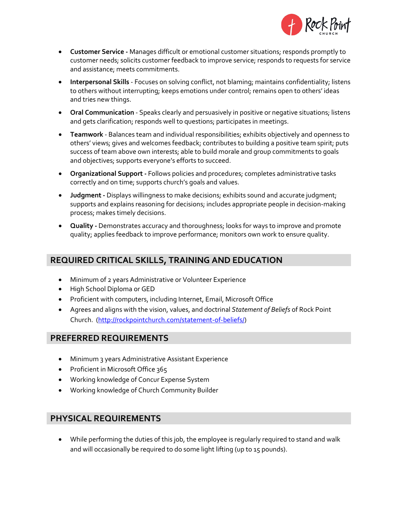

- **Customer Service** Manages difficult or emotional customer situations; responds promptly to customer needs; solicits customer feedback to improve service; responds to requests for service and assistance; meets commitments.
- **Interpersonal Skills** Focuses on solving conflict, not blaming; maintains confidentiality; listens to others without interrupting; keeps emotions under control; remains open to others' ideas and tries new things.
- **Oral Communication** Speaks clearly and persuasively in positive or negative situations; listens and gets clarification; responds well to questions; participates in meetings.
- **Teamwork** Balances team and individual responsibilities; exhibits objectively and openness to others' views; gives and welcomes feedback; contributes to building a positive team spirit; puts success of team above own interests; able to build morale and group commitments to goals and objectives; supports everyone's efforts to succeed.
- **Organizational Support -** Follows policies and procedures; completes administrative tasks correctly and on time; supports church's goals and values.
- **Judgment -** Displays willingness to make decisions; exhibits sound and accurate judgment; supports and explains reasoning for decisions; includes appropriate people in decision-making process; makes timely decisions.
- **Quality -** Demonstrates accuracy and thoroughness; looks for ways to improve and promote quality; applies feedback to improve performance; monitors own work to ensure quality.

### **REQUIRED CRITICAL SKILLS, TRAINING AND EDUCATION**

- Minimum of 2 years Administrative or Volunteer Experience
- High School Diploma or GED
- Proficient with computers, including Internet, Email, Microsoft Office
- Agrees and aligns with the vision, values, and doctrinal *Statement of Beliefs* of Rock Point Church. [\(http://rockpointchurch.com/statement-of-beliefs/\)](http://rockpointchurch.com/statement-of-beliefs/)

#### **PREFERRED REQUIREMENTS**

- Minimum 3 years Administrative Assistant Experience
- Proficient in Microsoft Office 365
- Working knowledge of Concur Expense System
- Working knowledge of Church Community Builder

#### **PHYSICAL REQUIREMENTS**

• While performing the duties of this job, the employee is regularly required to stand and walk and will occasionally be required to do some light lifting (up to 15 pounds).